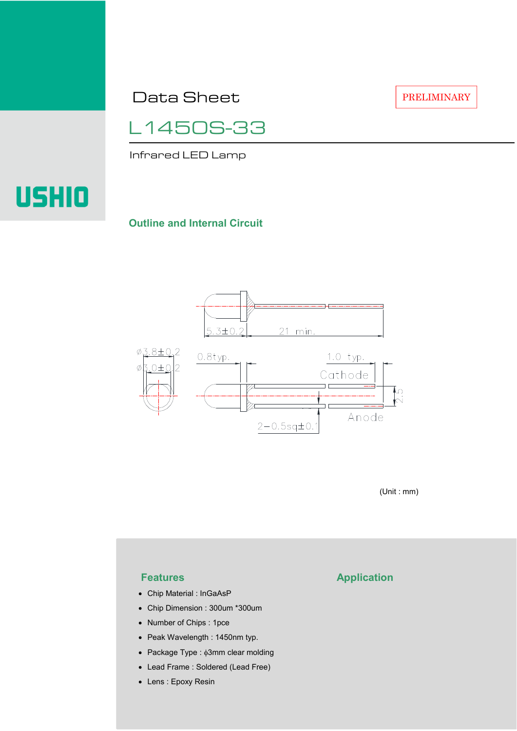Data Sheet

PRELIMINARY

L1450S-33

Infrared LED Lamp

# USHIO

#### **Outline and Internal Circuit**



(Unit : mm)

- Chip Material : InGaAsP
- Chip Dimension : 300um \*300um
- Number of Chips : 1pce
- Peak Wavelength : 1450nm typ.
- Package Type : φ3mm clear molding
- Lead Frame : Soldered (Lead Free)
- Lens : Epoxy Resin

## **Features Application**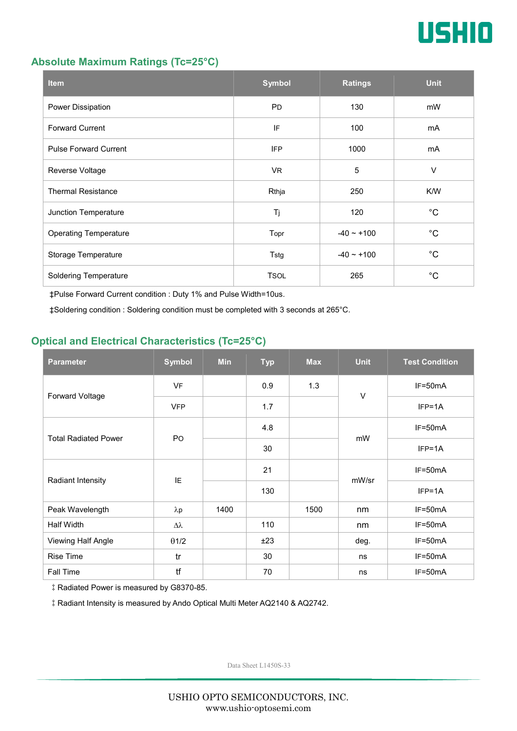

#### **Absolute Maximum Ratings (Tc=25°C)**

| <b>Item</b>                  | <b>Symbol</b> | <b>Ratings</b>  | <b>Unit</b> |
|------------------------------|---------------|-----------------|-------------|
| Power Dissipation            | <b>PD</b>     | 130             | mW          |
| <b>Forward Current</b>       | IF            | 100             | mA          |
| <b>Pulse Forward Current</b> | <b>IFP</b>    | 1000            | mA          |
| Reverse Voltage              | VR.           | $\overline{5}$  | $\vee$      |
| <b>Thermal Resistance</b>    | Rthja         | 250             | K/W         |
| Junction Temperature         | Tj            | 120             | $^{\circ}C$ |
| <b>Operating Temperature</b> | Topr          | $-40 \sim +100$ | $^{\circ}C$ |
| Storage Temperature          | Tstg          | $-40 - +100$    | $^{\circ}C$ |
| <b>Soldering Temperature</b> | <b>TSOL</b>   | 265             | $^{\circ}C$ |

‡Pulse Forward Current condition : Duty 1% and Pulse Width=10us.

‡Soldering condition : Soldering condition must be completed with 3 seconds at 265°C.

### **Optical and Electrical Characteristics (Tc=25°C)**

| <b>Parameter</b>            | <b>Symbol</b>  | <b>Min</b> | <b>Typ</b> | <b>Max</b> | <b>Unit</b> | <b>Test Condition</b> |
|-----------------------------|----------------|------------|------------|------------|-------------|-----------------------|
| Forward Voltage             | <b>VF</b>      |            | 0.9        | 1.3        | $\vee$      | IF=50mA               |
|                             | <b>VFP</b>     |            | 1.7        |            |             | $IFP=1A$              |
| <b>Total Radiated Power</b> | P <sub>O</sub> |            | 4.8        |            | mW          | $IF=50mA$             |
|                             |                |            | 30         |            |             | $IFP=1A$              |
| Radiant Intensity           | IE             |            | 21         |            | mW/sr       | $IF=50mA$             |
|                             |                |            | 130        |            |             | $IFP=1A$              |
| Peak Wavelength             | $\lambda p$    | 1400       |            | 1500       | nm          | $IF=50mA$             |
| Half Width                  | Δλ             |            | 110        |            | nm          | $IF=50mA$             |
| Viewing Half Angle          | $\theta$ 1/2   |            | ±23        |            | deg.        | $IF=50mA$             |
| <b>Rise Time</b>            | tr             |            | 30         |            | ns          | $IF=50mA$             |
| <b>Fall Time</b>            | tf             |            | 70         |            | ns          | $IF=50mA$             |

‡Radiated Power is measured by G8370-85.

‡Radiant Intensity is measured by Ando Optical Multi Meter AQ2140 & AQ2742.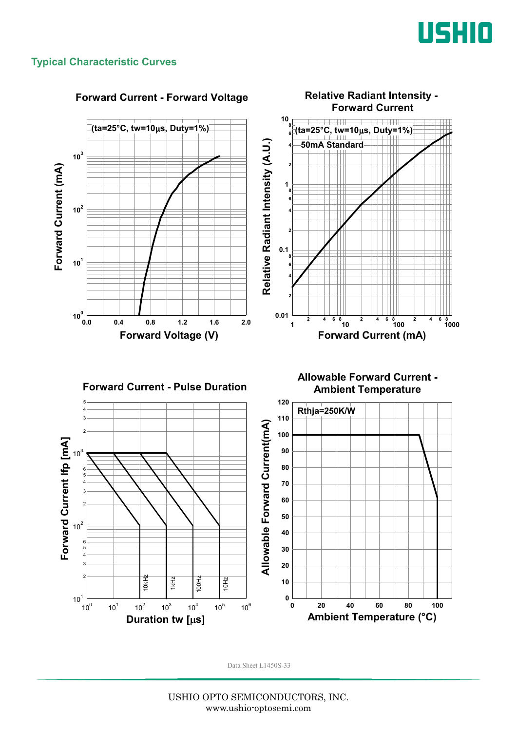

#### **Typical Characteristic Curves**

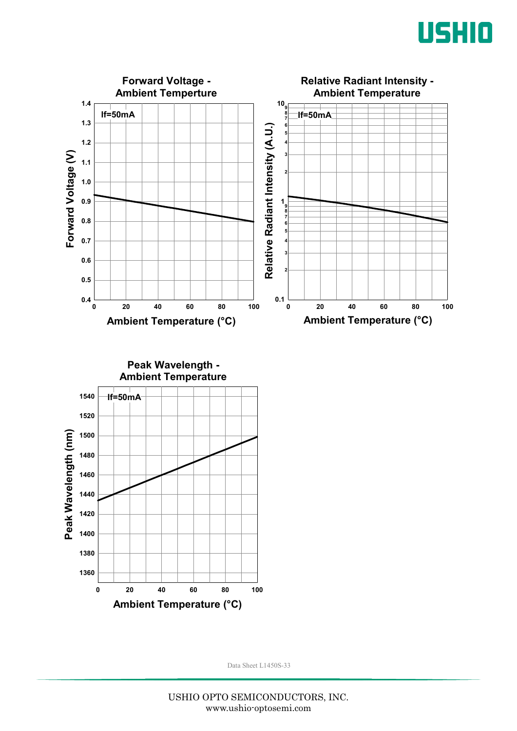



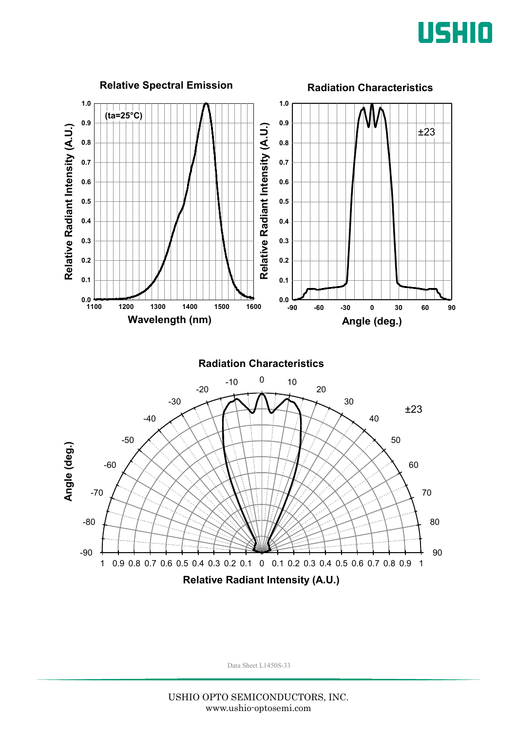